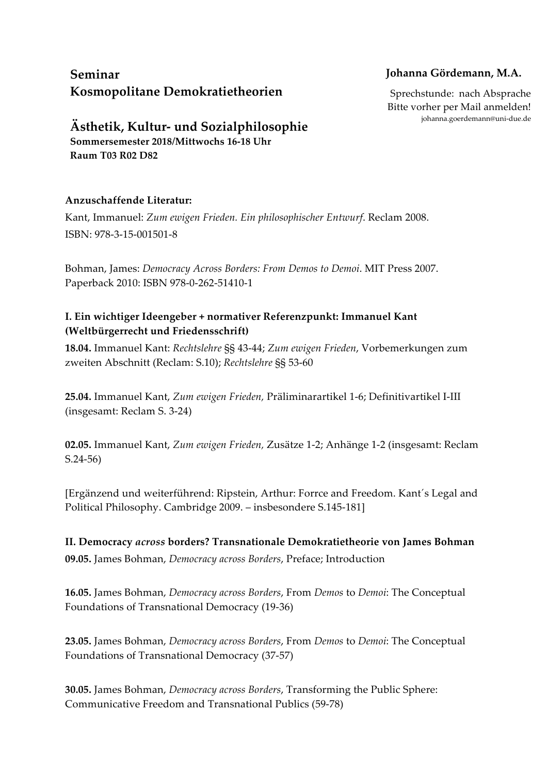# **Seminar Kosmopolitane Demokratietheorien**

## **Johanna Gördemann, M.A.**

Sprechstunde: nach Absprache Bitte vorher per Mail anmelden! johanna.goerdemann@uni-due.de

**Ästhetik, Kultur- und Sozialphilosophie Sommersemester 2018/Mittwochs 16-18 Uhr**

**Raum T03 R02 D82**

#### **Anzuschaffende Literatur:**

Kant, Immanuel: *Zum ewigen Frieden. Ein philosophischer Entwurf*. Reclam 2008. ISBN: 978-3-15-001501-8

Bohman, James: *Democracy Across Borders: From Demos to Demoi*. MIT Press 2007. Paperback 2010: ISBN 978-0-262-51410-1

### **I. Ein wichtiger Ideengeber + normativer Referenzpunkt: Immanuel Kant (Weltbürgerrecht und Friedensschrift)**

**18.04.** Immanuel Kant: *Rechtslehre* §§ 43-44; *Zum ewigen Frieden*, Vorbemerkungen zum zweiten Abschnitt (Reclam: S.10); *Rechtslehre* §§ 53-60

**25.04.** Immanuel Kant, *Zum ewigen Frieden,* Präliminarartikel 1-6; Definitivartikel I-III (insgesamt: Reclam S. 3-24)

**02.05.** Immanuel Kant, *Zum ewigen Frieden,* Zusätze 1-2; Anhänge 1-2 (insgesamt: Reclam S.24-56)

[Ergänzend und weiterführend: Ripstein, Arthur: Forrce and Freedom. Kant´s Legal and Political Philosophy. Cambridge 2009. – insbesondere S.145-181]

**II. Democracy** *across* **borders? Transnationale Demokratietheorie von James Bohman 09.05.** James Bohman, *Democracy across Borders*, Preface; Introduction

**16.05.** James Bohman, *Democracy across Borders*, From *Demos* to *Demoi*: The Conceptual Foundations of Transnational Democracy (19-36)

**23.05.** James Bohman, *Democracy across Borders*, From *Demos* to *Demoi*: The Conceptual Foundations of Transnational Democracy (37-57)

**30.05.** James Bohman, *Democracy across Borders*, Transforming the Public Sphere: Communicative Freedom and Transnational Publics (59-78)